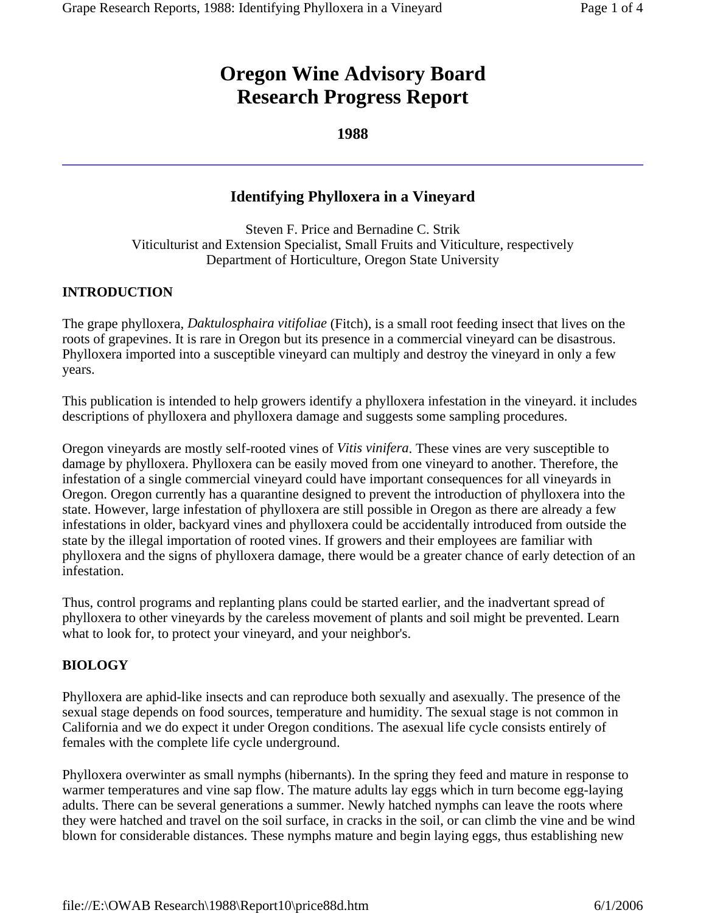# **Oregon Wine Advisory Board Research Progress Report**

#### **1988**

## **Identifying Phylloxera in a Vineyard**

Steven F. Price and Bernadine C. Strik Viticulturist and Extension Specialist, Small Fruits and Viticulture, respectively Department of Horticulture, Oregon State University

#### **INTRODUCTION**

The grape phylloxera, *Daktulosphaira vitifoliae* (Fitch), is a small root feeding insect that lives on the roots of grapevines. It is rare in Oregon but its presence in a commercial vineyard can be disastrous. Phylloxera imported into a susceptible vineyard can multiply and destroy the vineyard in only a few years.

This publication is intended to help growers identify a phylloxera infestation in the vineyard. it includes descriptions of phylloxera and phylloxera damage and suggests some sampling procedures.

Oregon vineyards are mostly self-rooted vines of *Vitis vinifera*. These vines are very susceptible to damage by phylloxera. Phylloxera can be easily moved from one vineyard to another. Therefore, the infestation of a single commercial vineyard could have important consequences for all vineyards in Oregon. Oregon currently has a quarantine designed to prevent the introduction of phylloxera into the state. However, large infestation of phylloxera are still possible in Oregon as there are already a few infestations in older, backyard vines and phylloxera could be accidentally introduced from outside the state by the illegal importation of rooted vines. If growers and their employees are familiar with phylloxera and the signs of phylloxera damage, there would be a greater chance of early detection of an infestation.

Thus, control programs and replanting plans could be started earlier, and the inadvertant spread of phylloxera to other vineyards by the careless movement of plants and soil might be prevented. Learn what to look for, to protect your vineyard, and your neighbor's.

#### **BIOLOGY**

Phylloxera are aphid-like insects and can reproduce both sexually and asexually. The presence of the sexual stage depends on food sources, temperature and humidity. The sexual stage is not common in California and we do expect it under Oregon conditions. The asexual life cycle consists entirely of females with the complete life cycle underground.

Phylloxera overwinter as small nymphs (hibernants). In the spring they feed and mature in response to warmer temperatures and vine sap flow. The mature adults lay eggs which in turn become egg-laying adults. There can be several generations a summer. Newly hatched nymphs can leave the roots where they were hatched and travel on the soil surface, in cracks in the soil, or can climb the vine and be wind blown for considerable distances. These nymphs mature and begin laying eggs, thus establishing new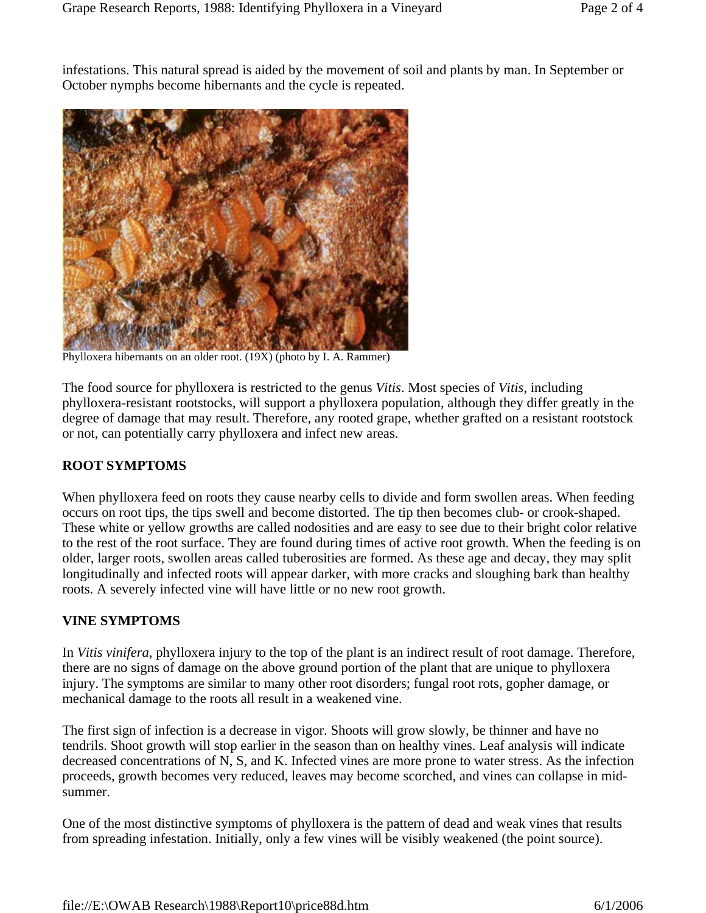infestations. This natural spread is aided by the movement of soil and plants by man. In September or October nymphs become hibernants and the cycle is repeated.



Phylloxera hibernants on an older root. (19X) (photo by I. A. Rammer)

The food source for phylloxera is restricted to the genus *Vitis*. Most species of *Vitis*, including phylloxera-resistant rootstocks, will support a phylloxera population, although they differ greatly in the degree of damage that may result. Therefore, any rooted grape, whether grafted on a resistant rootstock or not, can potentially carry phylloxera and infect new areas.

#### **ROOT SYMPTOMS**

When phylloxera feed on roots they cause nearby cells to divide and form swollen areas. When feeding occurs on root tips, the tips swell and become distorted. The tip then becomes club- or crook-shaped. These white or yellow growths are called nodosities and are easy to see due to their bright color relative to the rest of the root surface. They are found during times of active root growth. When the feeding is on older, larger roots, swollen areas called tuberosities are formed. As these age and decay, they may split longitudinally and infected roots will appear darker, with more cracks and sloughing bark than healthy roots. A severely infected vine will have little or no new root growth.

#### **VINE SYMPTOMS**

In *Vitis vinifera*, phylloxera injury to the top of the plant is an indirect result of root damage. Therefore, there are no signs of damage on the above ground portion of the plant that are unique to phylloxera injury. The symptoms are similar to many other root disorders; fungal root rots, gopher damage, or mechanical damage to the roots all result in a weakened vine.

The first sign of infection is a decrease in vigor. Shoots will grow slowly, be thinner and have no tendrils. Shoot growth will stop earlier in the season than on healthy vines. Leaf analysis will indicate decreased concentrations of N, S, and K. Infected vines are more prone to water stress. As the infection proceeds, growth becomes very reduced, leaves may become scorched, and vines can collapse in midsummer.

One of the most distinctive symptoms of phylloxera is the pattern of dead and weak vines that results from spreading infestation. Initially, only a few vines will be visibly weakened (the point source).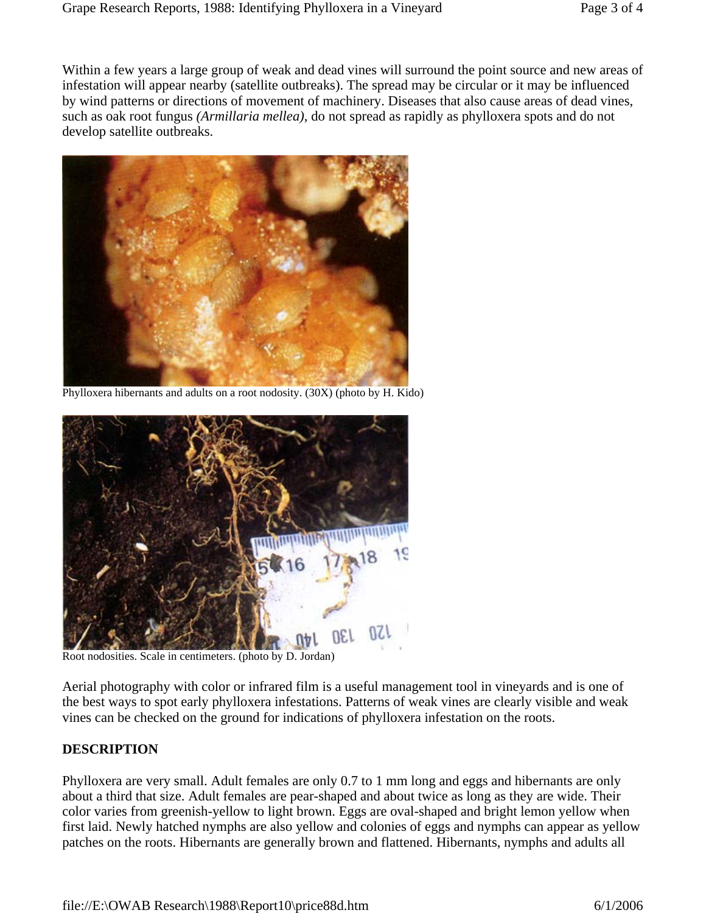Within a few years a large group of weak and dead vines will surround the point source and new areas of infestation will appear nearby (satellite outbreaks). The spread may be circular or it may be influenced by wind patterns or directions of movement of machinery. Diseases that also cause areas of dead vines, such as oak root fungus *(Armillaria mellea)*, do not spread as rapidly as phylloxera spots and do not develop satellite outbreaks.



Phylloxera hibernants and adults on a root nodosity. (30X) (photo by H. Kido)



Root nodosities. Scale in centimeters. (photo by D. Jordan)

Aerial photography with color or infrared film is a useful management tool in vineyards and is one of the best ways to spot early phylloxera infestations. Patterns of weak vines are clearly visible and weak vines can be checked on the ground for indications of phylloxera infestation on the roots.

#### **DESCRIPTION**

Phylloxera are very small. Adult females are only 0.7 to 1 mm long and eggs and hibernants are only about a third that size. Adult females are pear-shaped and about twice as long as they are wide. Their color varies from greenish-yellow to light brown. Eggs are oval-shaped and bright lemon yellow when first laid. Newly hatched nymphs are also yellow and colonies of eggs and nymphs can appear as yellow patches on the roots. Hibernants are generally brown and flattened. Hibernants, nymphs and adults all